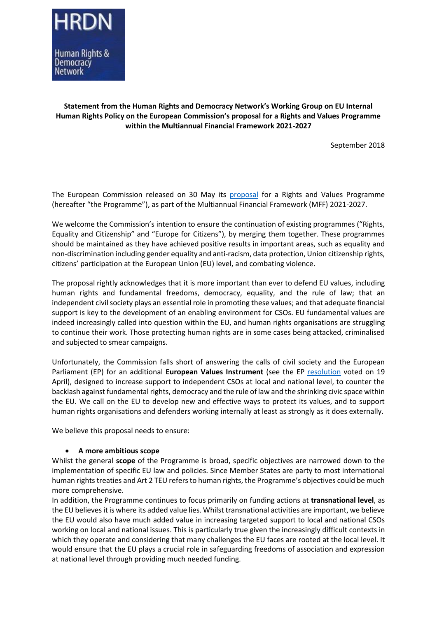

### **Statement from the Human Rights and Democracy Network's Working Group on EU Internal Human Rights Policy on the European Commission's proposal for a Rights and Values Programme within the Multiannual Financial Framework 2021-2027**

September 2018

The European Commission released on 30 May its [proposal](https://ec.europa.eu/commission/sites/beta-political/files/budget-may2018-rights-values-regulation_en.pdf) for a Rights and Values Programme (hereafter "the Programme"), as part of the Multiannual Financial Framework (MFF) 2021-2027.

We welcome the Commission's intention to ensure the continuation of existing programmes ("Rights, Equality and Citizenship" and "Europe for Citizens"), by merging them together. These programmes should be maintained as they have achieved positive results in important areas, such as equality and non-discrimination including gender equality and anti-racism, data protection, Union citizenship rights, citizens' participation at the European Union (EU) level, and combating violence.

The proposal rightly acknowledges that it is more important than ever to defend EU values, including human rights and fundamental freedoms, democracy, equality, and the rule of law; that an independent civil society plays an essential role in promoting these values; and that adequate financial support is key to the development of an enabling environment for CSOs. EU fundamental values are indeed increasingly called into question within the EU, and human rights organisations are struggling to continue their work. Those protecting human rights are in some cases being attacked, criminalised and subjected to smear campaigns.

Unfortunately, the Commission falls short of answering the calls of civil society and the European Parliament (EP) for an additional **European Values Instrument** (see the EP [resolution](http://www.europarl.europa.eu/sides/getDoc.do?type=MOTION&reference=B8-2018-0189&language=EN) voted on 19 April), designed to increase support to independent CSOs at local and national level, to counter the backlash against fundamental rights, democracy and the rule of law and the shrinking civic space within the EU. We call on the EU to develop new and effective ways to protect its values, and to support human rights organisations and defenders working internally at least as strongly as it does externally.

We believe this proposal needs to ensure:

#### **A more ambitious scope**

Whilst the general **scope** of the Programme is broad, specific objectives are narrowed down to the implementation of specific EU law and policies. Since Member States are party to most international human rights treaties and Art 2 TEU refers to human rights, the Programme's objectives could be much more comprehensive.

In addition, the Programme continues to focus primarily on funding actions at **transnational level**, as the EU believes it is where its added value lies. Whilst transnational activities are important, we believe the EU would also have much added value in increasing targeted support to local and national CSOs working on local and national issues. This is particularly true given the increasingly difficult contexts in which they operate and considering that many challenges the EU faces are rooted at the local level. It would ensure that the EU plays a crucial role in safeguarding freedoms of association and expression at national level through providing much needed funding.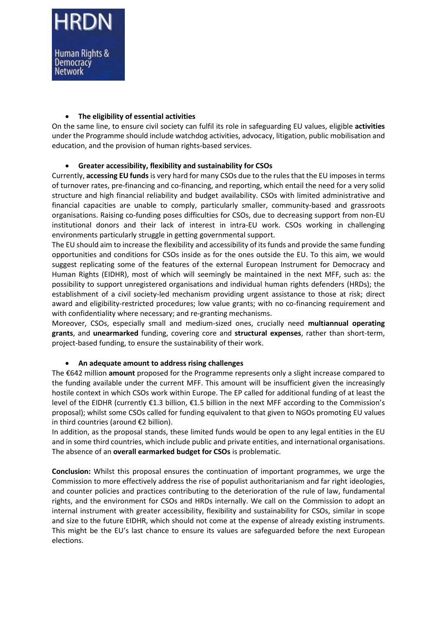### **The eligibility of essential activities**

On the same line, to ensure civil society can fulfil its role in safeguarding EU values, eligible **activities** under the Programme should include watchdog activities, advocacy, litigation, public mobilisation and education, and the provision of human rights-based services.

## **Greater accessibility, flexibility and sustainability for CSOs**

Currently, **accessing EU funds** is very hard for many CSOs due to the rules that the EU imposes in terms of turnover rates, pre-financing and co-financing, and reporting, which entail the need for a very solid structure and high financial reliability and budget availability. CSOs with limited administrative and financial capacities are unable to comply, particularly smaller, community-based and grassroots organisations. Raising co-funding poses difficulties for CSOs, due to decreasing support from non-EU institutional donors and their lack of interest in intra-EU work. CSOs working in challenging environments particularly struggle in getting governmental support.

The EU should aim to increase the flexibility and accessibility of its funds and provide the same funding opportunities and conditions for CSOs inside as for the ones outside the EU. To this aim, we would suggest replicating some of the features of the external European Instrument for Democracy and Human Rights (EIDHR), most of which will seemingly be maintained in the next MFF, such as: the possibility to support unregistered organisations and individual human rights defenders (HRDs); the establishment of a civil society-led mechanism providing urgent assistance to those at risk; direct award and eligibility-restricted procedures; low value grants; with no co-financing requirement and with confidentiality where necessary; and re-granting mechanisms.

Moreover, CSOs, especially small and medium-sized ones, crucially need **multiannual operating grants**, and **unearmarked** funding, covering core and **structural expenses**, rather than short-term, project-based funding, to ensure the sustainability of their work.

# **An adequate amount to address rising challenges**

The €642 million **amount** proposed for the Programme represents only a slight increase compared to the funding available under the current MFF. This amount will be insufficient given the increasingly hostile context in which CSOs work within Europe. The EP called for additional funding of at least the level of the EIDHR (currently €1.3 billion, €1.5 billion in the next MFF according to the Commission's proposal); whilst some CSOs called for funding equivalent to that given to NGOs promoting EU values in third countries (around €2 billion).

In addition, as the proposal stands, these limited funds would be open to any legal entities in the EU and in some third countries, which include public and private entities, and international organisations. The absence of an **overall earmarked budget for CSOs** is problematic.

**Conclusion:** Whilst this proposal ensures the continuation of important programmes, we urge the Commission to more effectively address the rise of populist authoritarianism and far right ideologies, and counter policies and practices contributing to the deterioration of the rule of law, fundamental rights, and the environment for CSOs and HRDs internally. We call on the Commission to adopt an internal instrument with greater accessibility, flexibility and sustainability for CSOs, similar in scope and size to the future EIDHR, which should not come at the expense of already existing instruments. This might be the EU's last chance to ensure its values are safeguarded before the next European elections.